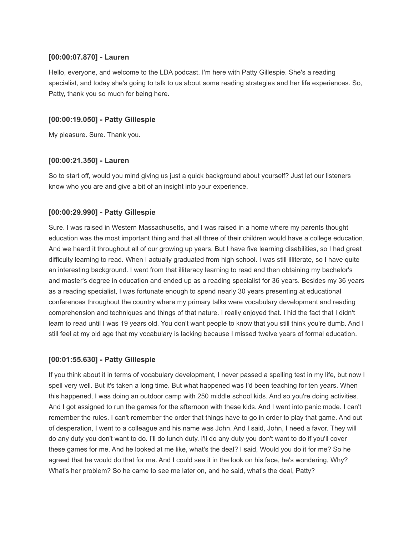## **[00:00:07.870] - Lauren**

Hello, everyone, and welcome to the LDA podcast. I'm here with Patty Gillespie. She's a reading specialist, and today she's going to talk to us about some reading strategies and her life experiences. So, Patty, thank you so much for being here.

## **[00:00:19.050] - Patty Gillespie**

My pleasure. Sure. Thank you.

### **[00:00:21.350] - Lauren**

So to start off, would you mind giving us just a quick background about yourself? Just let our listeners know who you are and give a bit of an insight into your experience.

## **[00:00:29.990] - Patty Gillespie**

Sure. I was raised in Western Massachusetts, and I was raised in a home where my parents thought education was the most important thing and that all three of their children would have a college education. And we heard it throughout all of our growing up years. But I have five learning disabilities, so I had great difficulty learning to read. When I actually graduated from high school. I was still illiterate, so I have quite an interesting background. I went from that illiteracy learning to read and then obtaining my bachelor's and master's degree in education and ended up as a reading specialist for 36 years. Besides my 36 years as a reading specialist, I was fortunate enough to spend nearly 30 years presenting at educational conferences throughout the country where my primary talks were vocabulary development and reading comprehension and techniques and things of that nature. I really enjoyed that. I hid the fact that I didn't learn to read until I was 19 years old. You don't want people to know that you still think you're dumb. And I still feel at my old age that my vocabulary is lacking because I missed twelve years of formal education.

## **[00:01:55.630] - Patty Gillespie**

If you think about it in terms of vocabulary development, I never passed a spelling test in my life, but now I spell very well. But it's taken a long time. But what happened was I'd been teaching for ten years. When this happened, I was doing an outdoor camp with 250 middle school kids. And so you're doing activities. And I got assigned to run the games for the afternoon with these kids. And I went into panic mode. I can't remember the rules. I can't remember the order that things have to go in order to play that game. And out of desperation, I went to a colleague and his name was John. And I said, John, I need a favor. They will do any duty you don't want to do. I'll do lunch duty. I'll do any duty you don't want to do if you'll cover these games for me. And he looked at me like, what's the deal? I said, Would you do it for me? So he agreed that he would do that for me. And I could see it in the look on his face, he's wondering, Why? What's her problem? So he came to see me later on, and he said, what's the deal, Patty?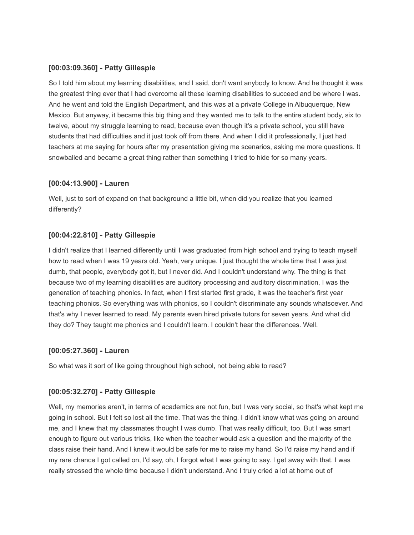### **[00:03:09.360] - Patty Gillespie**

So I told him about my learning disabilities, and I said, don't want anybody to know. And he thought it was the greatest thing ever that I had overcome all these learning disabilities to succeed and be where I was. And he went and told the English Department, and this was at a private College in Albuquerque, New Mexico. But anyway, it became this big thing and they wanted me to talk to the entire student body, six to twelve, about my struggle learning to read, because even though it's a private school, you still have students that had difficulties and it just took off from there. And when I did it professionally, I just had teachers at me saying for hours after my presentation giving me scenarios, asking me more questions. It snowballed and became a great thing rather than something I tried to hide for so many years.

### **[00:04:13.900] - Lauren**

Well, just to sort of expand on that background a little bit, when did you realize that you learned differently?

### **[00:04:22.810] - Patty Gillespie**

I didn't realize that I learned differently until I was graduated from high school and trying to teach myself how to read when I was 19 years old. Yeah, very unique. I just thought the whole time that I was just dumb, that people, everybody got it, but I never did. And I couldn't understand why. The thing is that because two of my learning disabilities are auditory processing and auditory discrimination, I was the generation of teaching phonics. In fact, when I first started first grade, it was the teacher's first year teaching phonics. So everything was with phonics, so I couldn't discriminate any sounds whatsoever. And that's why I never learned to read. My parents even hired private tutors for seven years. And what did they do? They taught me phonics and I couldn't learn. I couldn't hear the differences. Well.

### **[00:05:27.360] - Lauren**

So what was it sort of like going throughout high school, not being able to read?

## **[00:05:32.270] - Patty Gillespie**

Well, my memories aren't, in terms of academics are not fun, but I was very social, so that's what kept me going in school. But I felt so lost all the time. That was the thing. I didn't know what was going on around me, and I knew that my classmates thought I was dumb. That was really difficult, too. But I was smart enough to figure out various tricks, like when the teacher would ask a question and the majority of the class raise their hand. And I knew it would be safe for me to raise my hand. So I'd raise my hand and if my rare chance I got called on, I'd say, oh, I forgot what I was going to say. I get away with that. I was really stressed the whole time because I didn't understand. And I truly cried a lot at home out of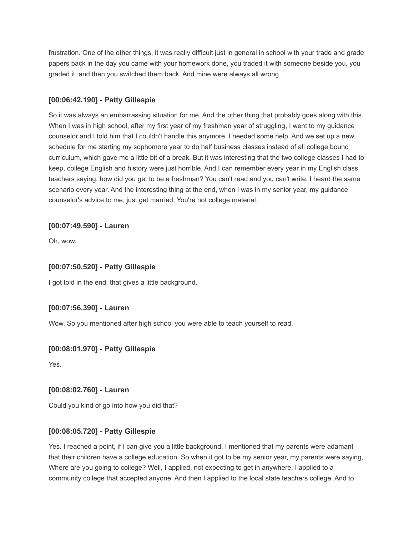frustration. One of the other things, it was really difficult just in general in school with your trade and grade papers back in the day you came with your homework done, you traded it with someone beside you, you graded it, and then you switched them back. And mine were always all wrong.

# **[00:06:42.190] - Patty Gillespie**

So it was always an embarrassing situation for me. And the other thing that probably goes along with this. When I was in high school, after my first year of my freshman year of struggling, I went to my guidance counselor and I told him that I couldn't handle this anymore. I needed some help. And we set up a new schedule for me starting my sophomore year to do half business classes instead of all college bound curriculum, which gave me a little bit of a break. But it was interesting that the two college classes I had to keep, college English and history were just horrible. And I can remember every year in my English class teachers saying, how did you get to be a freshman? You can't read and you can't write. I heard the same scenario every year. And the interesting thing at the end, when I was in my senior year, my guidance counselor's advice to me, just get married. You're not college material.

# **[00:07:49.590] - Lauren**

Oh, wow.

## **[00:07:50.520] - Patty Gillespie**

I got told in the end, that gives a little background.

## **[00:07:56.390] - Lauren**

Wow. So you mentioned after high school you were able to teach yourself to read.

## **[00:08:01.970] - Patty Gillespie**

Yes.

## **[00:08:02.760] - Lauren**

Could you kind of go into how you did that?

## **[00:08:05.720] - Patty Gillespie**

Yes. I reached a point, if I can give you a little background. I mentioned that my parents were adamant that their children have a college education. So when it got to be my senior year, my parents were saying, Where are you going to college? Well, I applied, not expecting to get in anywhere. I applied to a community college that accepted anyone. And then I applied to the local state teachers college. And to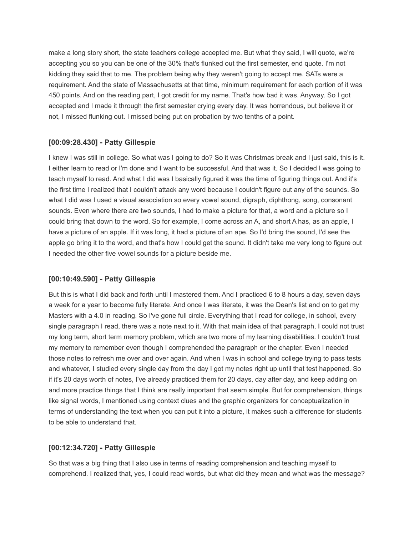make a long story short, the state teachers college accepted me. But what they said, I will quote, we're accepting you so you can be one of the 30% that's flunked out the first semester, end quote. I'm not kidding they said that to me. The problem being why they weren't going to accept me. SATs were a requirement. And the state of Massachusetts at that time, minimum requirement for each portion of it was 450 points. And on the reading part, I got credit for my name. That's how bad it was. Anyway. So I got accepted and I made it through the first semester crying every day. It was horrendous, but believe it or not, I missed flunking out. I missed being put on probation by two tenths of a point.

### **[00:09:28.430] - Patty Gillespie**

I knew I was still in college. So what was I going to do? So it was Christmas break and I just said, this is it. I either learn to read or I'm done and I want to be successful. And that was it. So I decided I was going to teach myself to read. And what I did was I basically figured it was the time of figuring things out. And it's the first time I realized that I couldn't attack any word because I couldn't figure out any of the sounds. So what I did was I used a visual association so every vowel sound, digraph, diphthong, song, consonant sounds. Even where there are two sounds, I had to make a picture for that, a word and a picture so I could bring that down to the word. So for example, I come across an A, and short A has, as an apple, I have a picture of an apple. If it was long, it had a picture of an ape. So I'd bring the sound, I'd see the apple go bring it to the word, and that's how I could get the sound. It didn't take me very long to figure out I needed the other five vowel sounds for a picture beside me.

## **[00:10:49.590] - Patty Gillespie**

But this is what I did back and forth until I mastered them. And I practiced 6 to 8 hours a day, seven days a week for a year to become fully literate. And once I was literate, it was the Dean's list and on to get my Masters with a 4.0 in reading. So I've gone full circle. Everything that I read for college, in school, every single paragraph I read, there was a note next to it. With that main idea of that paragraph, I could not trust my long term, short term memory problem, which are two more of my learning disabilities. I couldn't trust my memory to remember even though I comprehended the paragraph or the chapter. Even I needed those notes to refresh me over and over again. And when I was in school and college trying to pass tests and whatever, I studied every single day from the day I got my notes right up until that test happened. So if it's 20 days worth of notes, I've already practiced them for 20 days, day after day, and keep adding on and more practice things that I think are really important that seem simple. But for comprehension, things like signal words, I mentioned using context clues and the graphic organizers for conceptualization in terms of understanding the text when you can put it into a picture, it makes such a difference for students to be able to understand that.

## **[00:12:34.720] - Patty Gillespie**

So that was a big thing that I also use in terms of reading comprehension and teaching myself to comprehend. I realized that, yes, I could read words, but what did they mean and what was the message?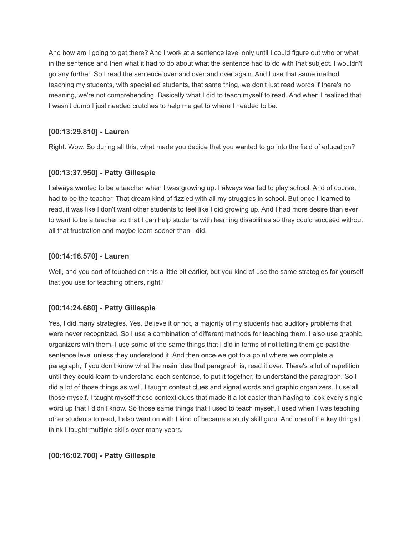And how am I going to get there? And I work at a sentence level only until I could figure out who or what in the sentence and then what it had to do about what the sentence had to do with that subject. I wouldn't go any further. So I read the sentence over and over and over again. And I use that same method teaching my students, with special ed students, that same thing, we don't just read words if there's no meaning, we're not comprehending. Basically what I did to teach myself to read. And when I realized that I wasn't dumb I just needed crutches to help me get to where I needed to be.

# **[00:13:29.810] - Lauren**

Right. Wow. So during all this, what made you decide that you wanted to go into the field of education?

## **[00:13:37.950] - Patty Gillespie**

I always wanted to be a teacher when I was growing up. I always wanted to play school. And of course, I had to be the teacher. That dream kind of fizzled with all my struggles in school. But once I learned to read, it was like I don't want other students to feel like I did growing up. And I had more desire than ever to want to be a teacher so that I can help students with learning disabilities so they could succeed without all that frustration and maybe learn sooner than I did.

## **[00:14:16.570] - Lauren**

Well, and you sort of touched on this a little bit earlier, but you kind of use the same strategies for yourself that you use for teaching others, right?

## **[00:14:24.680] - Patty Gillespie**

Yes, I did many strategies. Yes. Believe it or not, a majority of my students had auditory problems that were never recognized. So I use a combination of different methods for teaching them. I also use graphic organizers with them. I use some of the same things that I did in terms of not letting them go past the sentence level unless they understood it. And then once we got to a point where we complete a paragraph, if you don't know what the main idea that paragraph is, read it over. There's a lot of repetition until they could learn to understand each sentence, to put it together, to understand the paragraph. So I did a lot of those things as well. I taught context clues and signal words and graphic organizers. I use all those myself. I taught myself those context clues that made it a lot easier than having to look every single word up that I didn't know. So those same things that I used to teach myself, I used when I was teaching other students to read, I also went on with I kind of became a study skill guru. And one of the key things I think I taught multiple skills over many years.

# **[00:16:02.700] - Patty Gillespie**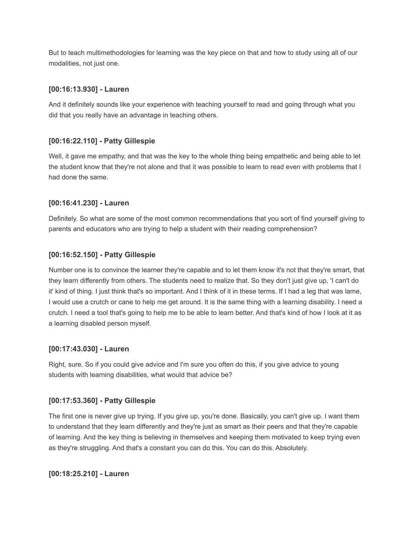But to teach multimethodologies for learning was the key piece on that and how to study using all of our modalities, not just one.

# **[00:16:13.930] - Lauren**

And it definitely sounds like your experience with teaching yourself to read and going through what you did that you really have an advantage in teaching others.

# **[00:16:22.110] - Patty Gillespie**

Well, it gave me empathy, and that was the key to the whole thing being empathetic and being able to let the student know that they're not alone and that it was possible to learn to read even with problems that I had done the same.

# **[00:16:41.230] - Lauren**

Definitely. So what are some of the most common recommendations that you sort of find yourself giving to parents and educators who are trying to help a student with their reading comprehension?

# **[00:16:52.150] - Patty Gillespie**

Number one is to convince the learner they're capable and to let them know it's not that they're smart, that they learn differently from others. The students need to realize that. So they don't just give up, 'I can't do it' kind of thing. I just think that's so important. And I think of it in these terms. If I had a leg that was lame, I would use a crutch or cane to help me get around. It is the same thing with a learning disability. I need a crutch. I need a tool that's going to help me to be able to learn better. And that's kind of how I look at it as a learning disabled person myself.

## **[00:17:43.030] - Lauren**

Right, sure. So if you could give advice and I'm sure you often do this, if you give advice to young students with learning disabilities, what would that advice be?

## **[00:17:53.360] - Patty Gillespie**

The first one is never give up trying. If you give up, you're done. Basically, you can't give up. I want them to understand that they learn differently and they're just as smart as their peers and that they're capable of learning. And the key thing is believing in themselves and keeping them motivated to keep trying even as they're struggling. And that's a constant you can do this. You can do this. Absolutely.

## **[00:18:25.210] - Lauren**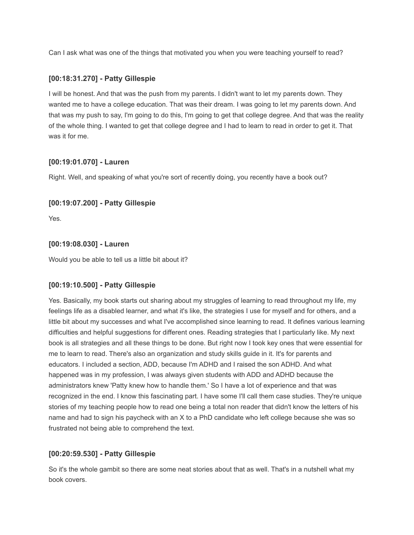Can I ask what was one of the things that motivated you when you were teaching yourself to read?

### **[00:18:31.270] - Patty Gillespie**

I will be honest. And that was the push from my parents. I didn't want to let my parents down. They wanted me to have a college education. That was their dream. I was going to let my parents down. And that was my push to say, I'm going to do this, I'm going to get that college degree. And that was the reality of the whole thing. I wanted to get that college degree and I had to learn to read in order to get it. That was it for me.

### **[00:19:01.070] - Lauren**

Right. Well, and speaking of what you're sort of recently doing, you recently have a book out?

### **[00:19:07.200] - Patty Gillespie**

Yes.

### **[00:19:08.030] - Lauren**

Would you be able to tell us a little bit about it?

### **[00:19:10.500] - Patty Gillespie**

Yes. Basically, my book starts out sharing about my struggles of learning to read throughout my life, my feelings life as a disabled learner, and what it's like, the strategies I use for myself and for others, and a little bit about my successes and what I've accomplished since learning to read. It defines various learning difficulties and helpful suggestions for different ones. Reading strategies that I particularly like. My next book is all strategies and all these things to be done. But right now I took key ones that were essential for me to learn to read. There's also an organization and study skills guide in it. It's for parents and educators. I included a section, ADD, because I'm ADHD and I raised the son ADHD. And what happened was in my profession, I was always given students with ADD and ADHD because the administrators knew 'Patty knew how to handle them.' So I have a lot of experience and that was recognized in the end. I know this fascinating part. I have some I'll call them case studies. They're unique stories of my teaching people how to read one being a total non reader that didn't know the letters of his name and had to sign his paycheck with an X to a PhD candidate who left college because she was so frustrated not being able to comprehend the text.

## **[00:20:59.530] - Patty Gillespie**

So it's the whole gambit so there are some neat stories about that as well. That's in a nutshell what my book covers.